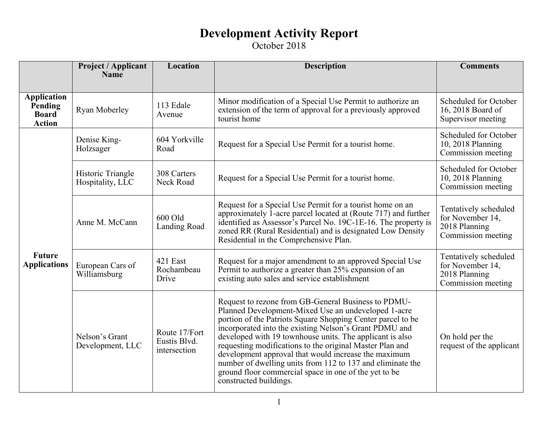|                                                                | <b>Project / Applicant</b><br><b>Name</b> | <b>Location</b>                               | <b>Description</b>                                                                                                                                                                                                                                                                                                                                                                                                                                                                                                                                                   | <b>Comments</b>                                                                  |
|----------------------------------------------------------------|-------------------------------------------|-----------------------------------------------|----------------------------------------------------------------------------------------------------------------------------------------------------------------------------------------------------------------------------------------------------------------------------------------------------------------------------------------------------------------------------------------------------------------------------------------------------------------------------------------------------------------------------------------------------------------------|----------------------------------------------------------------------------------|
| <b>Application</b><br>Pending<br><b>Board</b><br><b>Action</b> | Ryan Moberley                             | 113 Edale<br>Avenue                           | Minor modification of a Special Use Permit to authorize an<br>extension of the term of approval for a previously approved<br>tourist home                                                                                                                                                                                                                                                                                                                                                                                                                            | Scheduled for October<br>16, 2018 Board of<br>Supervisor meeting                 |
| <b>Future</b><br><b>Applications</b>                           | Denise King-<br>Holzsager                 | 604 Yorkville<br>Road                         | Request for a Special Use Permit for a tourist home.                                                                                                                                                                                                                                                                                                                                                                                                                                                                                                                 | Scheduled for October<br>10, 2018 Planning<br>Commission meeting                 |
|                                                                | Historic Triangle<br>Hospitality, LLC     | 308 Carters<br>Neck Road                      | Request for a Special Use Permit for a tourist home.                                                                                                                                                                                                                                                                                                                                                                                                                                                                                                                 | Scheduled for October<br>10, 2018 Planning<br>Commission meeting                 |
|                                                                | Anne M. McCann                            | 600 Old<br><b>Landing Road</b>                | Request for a Special Use Permit for a tourist home on an<br>approximately 1-acre parcel located at (Route 717) and further<br>identified as Assessor's Parcel No. 19C-1E-16. The property is<br>zoned RR (Rural Residential) and is designated Low Density<br>Residential in the Comprehensive Plan.                                                                                                                                                                                                                                                                | Tentatively scheduled<br>for November 14,<br>2018 Planning<br>Commission meeting |
|                                                                | European Cars of<br>Williamsburg          | 421 East<br>Rochambeau<br>Drive               | Request for a major amendment to an approved Special Use<br>Permit to authorize a greater than 25% expansion of an<br>existing auto sales and service establishment                                                                                                                                                                                                                                                                                                                                                                                                  | Tentatively scheduled<br>for November 14,<br>2018 Planning<br>Commission meeting |
|                                                                | Nelson's Grant<br>Development, LLC        | Route 17/Fort<br>Eustis Blvd.<br>intersection | Request to rezone from GB-General Business to PDMU-<br>Planned Development-Mixed Use an undeveloped 1-acre<br>portion of the Patriots Square Shopping Center parcel to be<br>incorporated into the existing Nelson's Grant PDMU and<br>developed with 19 townhouse units. The applicant is also<br>requesting modifications to the original Master Plan and<br>development approval that would increase the maximum<br>number of dwelling units from 112 to 137 and eliminate the<br>ground floor commercial space in one of the yet to be<br>constructed buildings. | On hold per the<br>request of the applicant                                      |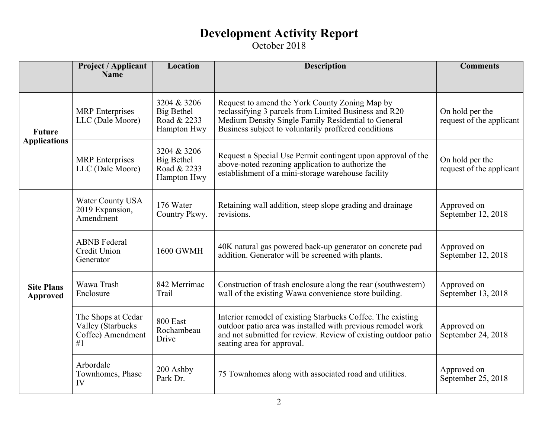|                                      | Project / Applicant<br><b>Name</b>                                 | Location                                                       | <b>Description</b>                                                                                                                                                                                                         | <b>Comments</b>                             |
|--------------------------------------|--------------------------------------------------------------------|----------------------------------------------------------------|----------------------------------------------------------------------------------------------------------------------------------------------------------------------------------------------------------------------------|---------------------------------------------|
| <b>Future</b><br><b>Applications</b> | <b>MRP</b> Enterprises<br>LLC (Dale Moore)                         | 3204 & 3206<br><b>Big Bethel</b><br>Road & 2233<br>Hampton Hwy | Request to amend the York County Zoning Map by<br>reclassifying 3 parcels from Limited Business and R20<br>Medium Density Single Family Residential to General<br>Business subject to voluntarily proffered conditions     | On hold per the<br>request of the applicant |
|                                      | <b>MRP</b> Enterprises<br>LLC (Dale Moore)                         | 3204 & 3206<br>Big Bethel<br>Road & 2233<br>Hampton Hwy        | Request a Special Use Permit contingent upon approval of the<br>above-noted rezoning application to authorize the<br>establishment of a mini-storage warehouse facility                                                    | On hold per the<br>request of the applicant |
| <b>Site Plans</b><br><b>Approved</b> | Water County USA<br>2019 Expansion,<br>Amendment                   | 176 Water<br>Country Pkwy.                                     | Retaining wall addition, steep slope grading and drainage<br>revisions.                                                                                                                                                    | Approved on<br>September 12, 2018           |
|                                      | <b>ABNB</b> Federal<br>Credit Union<br>Generator                   | <b>1600 GWMH</b>                                               | 40K natural gas powered back-up generator on concrete pad<br>addition. Generator will be screened with plants.                                                                                                             | Approved on<br>September 12, 2018           |
|                                      | Wawa Trash<br>Enclosure                                            | 842 Merrimac<br>Trail                                          | Construction of trash enclosure along the rear (southwestern)<br>wall of the existing Wawa convenience store building.                                                                                                     | Approved on<br>September 13, 2018           |
|                                      | The Shops at Cedar<br>Valley (Starbucks<br>Coffee) Amendment<br>#1 | 800 East<br>Rochambeau<br>Drive                                | Interior remodel of existing Starbucks Coffee. The existing<br>outdoor patio area was installed with previous remodel work<br>and not submitted for review. Review of existing outdoor patio<br>seating area for approval. | Approved on<br>September 24, 2018           |
|                                      | Arbordale<br>Townhomes, Phase<br>IV                                | 200 Ashby<br>Park Dr.                                          | 75 Townhomes along with associated road and utilities.                                                                                                                                                                     | Approved on<br>September 25, 2018           |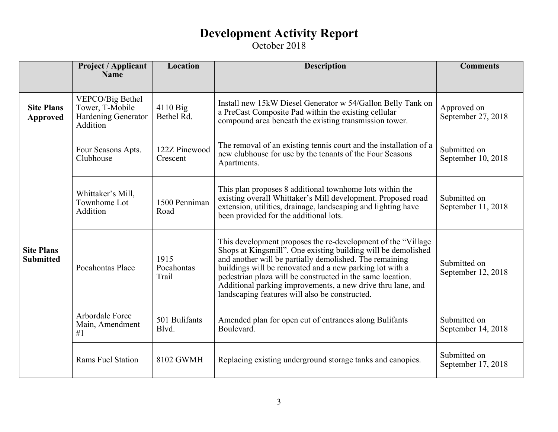|                                       | <b>Project / Applicant</b><br><b>Name</b>                              | Location                    | <b>Description</b>                                                                                                                                                                                                                                                                                                                                                                                                                   | <b>Comments</b>                    |
|---------------------------------------|------------------------------------------------------------------------|-----------------------------|--------------------------------------------------------------------------------------------------------------------------------------------------------------------------------------------------------------------------------------------------------------------------------------------------------------------------------------------------------------------------------------------------------------------------------------|------------------------------------|
| <b>Site Plans</b><br><b>Approved</b>  | VEPCO/Big Bethel<br>Tower, T-Mobile<br>Hardening Generator<br>Addition | $4110$ Big<br>Bethel Rd.    | Install new 15kW Diesel Generator w 54/Gallon Belly Tank on<br>a PreCast Composite Pad within the existing cellular<br>compound area beneath the existing transmission tower.                                                                                                                                                                                                                                                        | Approved on<br>September 27, 2018  |
| <b>Site Plans</b><br><b>Submitted</b> | Four Seasons Apts.<br>Clubhouse                                        | 122Z Pinewood<br>Crescent   | The removal of an existing tennis court and the installation of a<br>new clubhouse for use by the tenants of the Four Seasons<br>Apartments.                                                                                                                                                                                                                                                                                         | Submitted on<br>September 10, 2018 |
|                                       | Whittaker's Mill,<br>Townhome Lot<br>Addition                          | 1500 Penniman<br>Road       | This plan proposes 8 additional townhome lots within the<br>existing overall Whittaker's Mill development. Proposed road<br>extension, utilities, drainage, landscaping and lighting have<br>been provided for the additional lots.                                                                                                                                                                                                  | Submitted on<br>September 11, 2018 |
|                                       | Pocahontas Place                                                       | 1915<br>Pocahontas<br>Trail | This development proposes the re-development of the "Village"<br>Shops at Kingsmill". One existing building will be demolished<br>and another will be partially demolished. The remaining<br>buildings will be renovated and a new parking lot with a<br>pedestrian plaza will be constructed in the same location.<br>Additional parking improvements, a new drive thru lane, and<br>landscaping features will also be constructed. | Submitted on<br>September 12, 2018 |
|                                       | Arbordale Force<br>Main, Amendment<br>#1                               | 501 Bulifants<br>Blvd.      | Amended plan for open cut of entrances along Bulifants<br>Boulevard.                                                                                                                                                                                                                                                                                                                                                                 | Submitted on<br>September 14, 2018 |
|                                       | <b>Rams Fuel Station</b>                                               | 8102 GWMH                   | Replacing existing underground storage tanks and canopies.                                                                                                                                                                                                                                                                                                                                                                           | Submitted on<br>September 17, 2018 |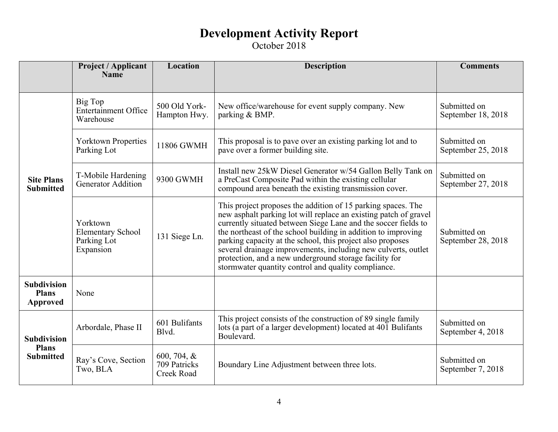|                                                        | Project / Applicant<br><b>Name</b>                               | Location                                     | <b>Description</b>                                                                                                                                                                                                                                                                                                                                                                                                                                                                                                  | <b>Comments</b>                    |
|--------------------------------------------------------|------------------------------------------------------------------|----------------------------------------------|---------------------------------------------------------------------------------------------------------------------------------------------------------------------------------------------------------------------------------------------------------------------------------------------------------------------------------------------------------------------------------------------------------------------------------------------------------------------------------------------------------------------|------------------------------------|
| <b>Site Plans</b><br><b>Submitted</b>                  | Big Top<br><b>Entertainment Office</b><br>Warehouse              | 500 Old York-<br>Hampton Hwy.                | New office/warehouse for event supply company. New<br>parking & BMP.                                                                                                                                                                                                                                                                                                                                                                                                                                                | Submitted on<br>September 18, 2018 |
|                                                        | <b>Yorktown Properties</b><br>Parking Lot                        | 11806 GWMH                                   | This proposal is to pave over an existing parking lot and to<br>pave over a former building site.                                                                                                                                                                                                                                                                                                                                                                                                                   | Submitted on<br>September 25, 2018 |
|                                                        | T-Mobile Hardening<br><b>Generator Addition</b>                  | 9300 GWMH                                    | Install new 25kW Diesel Generator w/54 Gallon Belly Tank on<br>a PreCast Composite Pad within the existing cellular<br>compound area beneath the existing transmission cover.                                                                                                                                                                                                                                                                                                                                       | Submitted on<br>September 27, 2018 |
|                                                        | Yorktown<br><b>Elementary School</b><br>Parking Lot<br>Expansion | 131 Siege Ln.                                | This project proposes the addition of 15 parking spaces. The<br>new asphalt parking lot will replace an existing patch of gravel<br>currently situated between Siege Lane and the soccer fields to<br>the northeast of the school building in addition to improving<br>parking capacity at the school, this project also proposes<br>several drainage improvements, including new culverts, outlet<br>protection, and a new underground storage facility for<br>stormwater quantity control and quality compliance. | Submitted on<br>September 28, 2018 |
| <b>Subdivision</b><br><b>Plans</b><br>Approved         | None                                                             |                                              |                                                                                                                                                                                                                                                                                                                                                                                                                                                                                                                     |                                    |
| <b>Subdivision</b><br><b>Plans</b><br><b>Submitted</b> | Arbordale, Phase II                                              | 601 Bulifants<br>Blvd.                       | This project consists of the construction of 89 single family<br>lots (a part of a larger development) located at 401 Bulifants<br>Boulevard.                                                                                                                                                                                                                                                                                                                                                                       | Submitted on<br>September 4, 2018  |
|                                                        | Ray's Cove, Section<br>Two, BLA                                  | 600, 704, $\&$<br>709 Patricks<br>Creek Road | Boundary Line Adjustment between three lots.                                                                                                                                                                                                                                                                                                                                                                                                                                                                        | Submitted on<br>September 7, 2018  |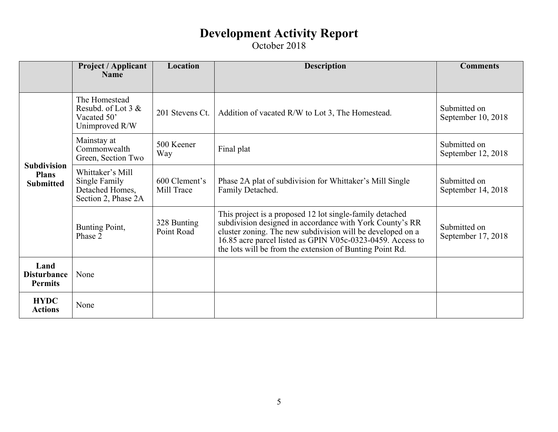|                                                        | <b>Project / Applicant</b><br><b>Name</b>                                   | Location                    | <b>Description</b>                                                                                                                                                                                                                                                                                           | <b>Comments</b>                    |
|--------------------------------------------------------|-----------------------------------------------------------------------------|-----------------------------|--------------------------------------------------------------------------------------------------------------------------------------------------------------------------------------------------------------------------------------------------------------------------------------------------------------|------------------------------------|
|                                                        |                                                                             |                             |                                                                                                                                                                                                                                                                                                              |                                    |
| <b>Subdivision</b><br><b>Plans</b><br><b>Submitted</b> | The Homestead<br>Resubd. of Lot $3 &$<br>Vacated 50'<br>Unimproved R/W      | 201 Stevens Ct.             | Addition of vacated R/W to Lot 3, The Homestead.                                                                                                                                                                                                                                                             | Submitted on<br>September 10, 2018 |
|                                                        | Mainstay at<br>Commonwealth<br>Green, Section Two                           | 500 Keener<br>Way           | Final plat                                                                                                                                                                                                                                                                                                   | Submitted on<br>September 12, 2018 |
|                                                        | Whittaker's Mill<br>Single Family<br>Detached Homes,<br>Section 2, Phase 2A | 600 Clement's<br>Mill Trace | Phase 2A plat of subdivision for Whittaker's Mill Single<br>Family Detached.                                                                                                                                                                                                                                 | Submitted on<br>September 14, 2018 |
|                                                        | Bunting Point,<br>Phase 2                                                   | 328 Bunting<br>Point Road   | This project is a proposed 12 lot single-family detached<br>subdivision designed in accordance with York County's RR<br>cluster zoning. The new subdivision will be developed on a<br>16.85 acre parcel listed as GPIN V05c-0323-0459. Access to<br>the lots will be from the extension of Bunting Point Rd. | Submitted on<br>September 17, 2018 |
| Land<br><b>Disturbance</b><br><b>Permits</b>           | None                                                                        |                             |                                                                                                                                                                                                                                                                                                              |                                    |
| <b>HYDC</b><br><b>Actions</b>                          | None                                                                        |                             |                                                                                                                                                                                                                                                                                                              |                                    |